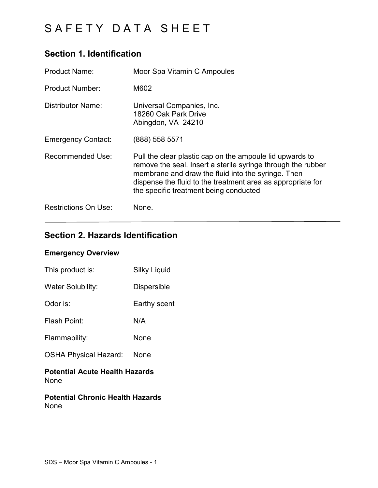## **Section 1. Identification**

| <b>Product Name:</b>        | Moor Spa Vitamin C Ampoules                                                                                                                                                                                                                                                             |
|-----------------------------|-----------------------------------------------------------------------------------------------------------------------------------------------------------------------------------------------------------------------------------------------------------------------------------------|
| <b>Product Number:</b>      | M602                                                                                                                                                                                                                                                                                    |
| Distributor Name:           | Universal Companies, Inc.<br>18260 Oak Park Drive<br>Abingdon, VA 24210                                                                                                                                                                                                                 |
| <b>Emergency Contact:</b>   | (888) 558 5571                                                                                                                                                                                                                                                                          |
| Recommended Use:            | Pull the clear plastic cap on the ampoule lid upwards to<br>remove the seal. Insert a sterile syringe through the rubber<br>membrane and draw the fluid into the syringe. Then<br>dispense the fluid to the treatment area as appropriate for<br>the specific treatment being conducted |
| <b>Restrictions On Use:</b> | None.                                                                                                                                                                                                                                                                                   |

## **Section 2. Hazards Identification**

### **Emergency Overview**

| This product is:                              | <b>Silky Liquid</b> |
|-----------------------------------------------|---------------------|
| <b>Water Solubility:</b>                      | <b>Dispersible</b>  |
| Odor is:                                      | Earthy scent        |
| Flash Point:                                  | N/A                 |
| Flammability:                                 | None                |
| <b>OSHA Physical Hazard:</b>                  | None                |
| <b>Potential Acute Health Hazards</b><br>None |                     |

**Potential Chronic Health Hazards** None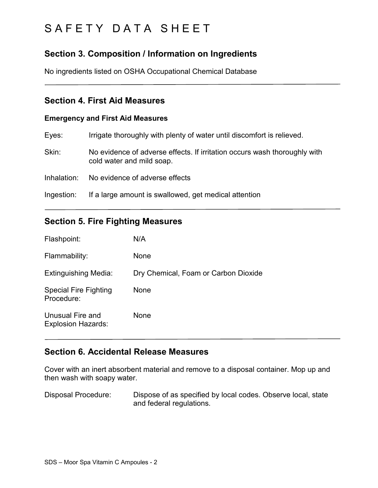## **Section 3. Composition / Information on Ingredients**

No ingredients listed on OSHA Occupational Chemical Database

#### **Section 4. First Aid Measures**

#### **Emergency and First Aid Measures**

| Eyes:       | Irrigate thoroughly with plenty of water until discomfort is relieved.                                 |
|-------------|--------------------------------------------------------------------------------------------------------|
| Skin:       | No evidence of adverse effects. If irritation occurs wash thoroughly with<br>cold water and mild soap. |
| Inhalation: | No evidence of adverse effects                                                                         |
| Ingestion:  | If a large amount is swallowed, get medical attention                                                  |
|             |                                                                                                        |

### **Section 5. Fire Fighting Measures**

| Flashpoint:                                   | N/A                                  |
|-----------------------------------------------|--------------------------------------|
| Flammability:                                 | None                                 |
| <b>Extinguishing Media:</b>                   | Dry Chemical, Foam or Carbon Dioxide |
| <b>Special Fire Fighting</b><br>Procedure:    | None                                 |
| Unusual Fire and<br><b>Explosion Hazards:</b> | None                                 |

### **Section 6. Accidental Release Measures**

Cover with an inert absorbent material and remove to a disposal container. Mop up and then wash with soapy water.

Disposal Procedure: Dispose of as specified by local codes. Observe local, state and federal regulations.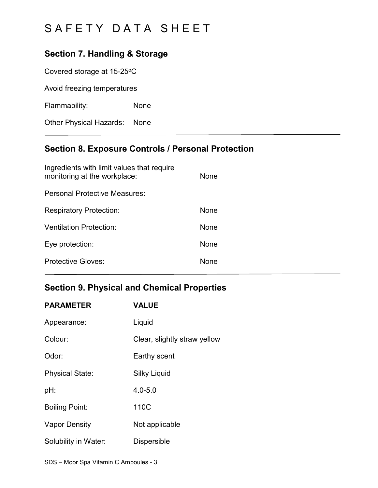## **Section 7. Handling & Storage**

Covered storage at 15-25°C

Avoid freezing temperatures

Flammability: None

Other Physical Hazards: None

## **Section 8. Exposure Controls / Personal Protection**

| Ingredients with limit values that require<br>monitoring at the workplace: | None        |
|----------------------------------------------------------------------------|-------------|
| Personal Protective Measures:                                              |             |
| <b>Respiratory Protection:</b>                                             | None        |
| Ventilation Protection:                                                    | <b>None</b> |
| Eye protection:                                                            | <b>None</b> |
| Protective Gloves:                                                         | None        |

### **Section 9. Physical and Chemical Properties**

| <b>PARAMETER</b>       | <b>VALUE</b>                 |
|------------------------|------------------------------|
| Appearance:            | Liquid                       |
| Colour:                | Clear, slightly straw yellow |
| Odor:                  | Earthy scent                 |
| <b>Physical State:</b> | <b>Silky Liquid</b>          |
| pH:                    | $4.0 - 5.0$                  |
| <b>Boiling Point:</b>  | 110C                         |
| Vapor Density          | Not applicable               |
| Solubility in Water:   | <b>Dispersible</b>           |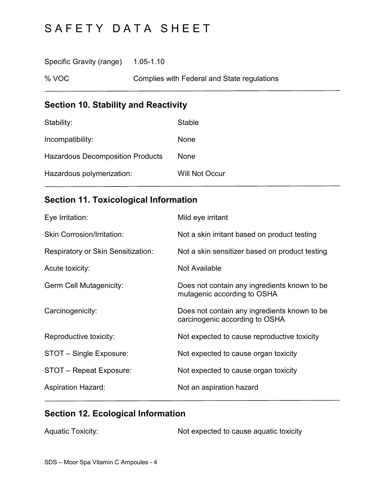Specific Gravity (range) 1.05-1.10

% VOC Complies with Federal and State regulations

# **Section 10. Stability and Reactivity**

| Stability:                              | <b>Stable</b>         |
|-----------------------------------------|-----------------------|
| Incompatibility:                        | None                  |
| <b>Hazardous Decomposition Products</b> | <b>None</b>           |
| Hazardous polymerization:               | <b>Will Not Occur</b> |

## **Section 11. Toxicological Information**

| Eye Irritation:                    | Mild eye irritant                                                              |
|------------------------------------|--------------------------------------------------------------------------------|
| <b>Skin Corrosion/Irritation:</b>  | Not a skin irritant based on product testing                                   |
| Respiratory or Skin Sensitization: | Not a skin sensitizer based on product testing                                 |
| Acute toxicity:                    | Not Available                                                                  |
| <b>Germ Cell Mutagenicity:</b>     | Does not contain any ingredients known to be<br>mutagenic according to OSHA    |
| Carcinogenicity:                   | Does not contain any ingredients known to be<br>carcinogenic according to OSHA |
| Reproductive toxicity:             | Not expected to cause reproductive toxicity                                    |
| STOT - Single Exposure:            | Not expected to cause organ toxicity                                           |
| STOT - Repeat Exposure:            | Not expected to cause organ toxicity                                           |
| <b>Aspiration Hazard:</b>          | Not an aspiration hazard                                                       |

# **Section 12. Ecological Information**

|  | <b>Aquatic Toxicity:</b> | Not expected to cause aquatic toxicity |
|--|--------------------------|----------------------------------------|
|--|--------------------------|----------------------------------------|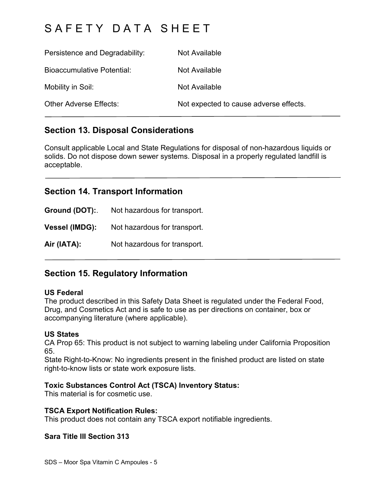# SAFFTY DATA SHFFT

| Persistence and Degradability: | Not Available                          |
|--------------------------------|----------------------------------------|
| Bioaccumulative Potential:     | Not Available                          |
| Mobility in Soil:              | Not Available                          |
| <b>Other Adverse Effects:</b>  | Not expected to cause adverse effects. |

### **Section 13. Disposal Considerations**

Consult applicable Local and State Regulations for disposal of non-hazardous liquids or solids. Do not dispose down sewer systems. Disposal in a properly regulated landfill is acceptable.

### **Section 14. Transport Information**

**Ground (DOT):**. Not hazardous for transport. **Vessel (IMDG):** Not hazardous for transport. **Air (IATA):** Not hazardous for transport.

## **Section 15. Regulatory Information**

#### **US Federal**

The product described in this Safety Data Sheet is regulated under the Federal Food, Drug, and Cosmetics Act and is safe to use as per directions on container, box or accompanying literature (where applicable).

#### **US States**

CA Prop 65: This product is not subject to warning labeling under California Proposition 65.

State Right-to-Know: No ingredients present in the finished product are listed on state right-to-know lists or state work exposure lists.

#### **Toxic Substances Control Act (TSCA) Inventory Status:**

This material is for cosmetic use.

#### **TSCA Export Notification Rules:**

This product does not contain any TSCA export notifiable ingredients.

#### **Sara Title III Section 313**